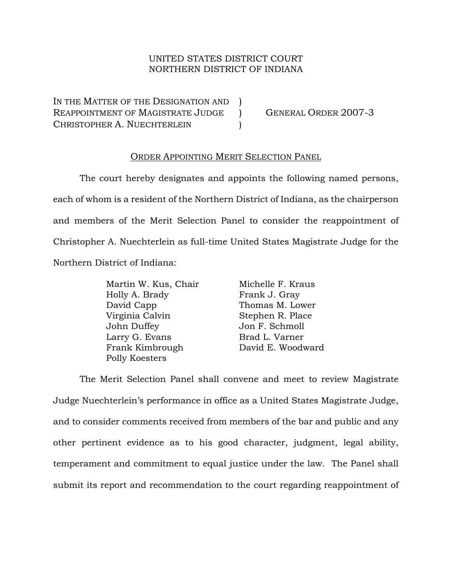## UNITED STATES DISTRICT COURT NORTHERN DISTRICT OF INDIANA

IN THE MATTER OF THE DESIGNATION AND ) REAPPOINTMENT OF MAGISTRATE JUDGE ) GENERAL ORDER 2007-3 CHRISTOPHER A. NUECHTERLEIN (1)

## ORDER APPOINTING MERIT SELECTION PANEL

The court hereby designates and appoints the following named persons, each of whom is a resident of the Northern District of Indiana, as the chairperson and members of the Merit Selection Panel to consider the reappointment of Christopher A. Nuechterlein as full-time United States Magistrate Judge for the Northern District of Indiana:

| Martin W. Kus, Chair | Michelle F. Kraus |
|----------------------|-------------------|
| Holly A. Brady       | Frank J. Gray     |
| David Capp           | Thomas M. Lower   |
| Virginia Calvin      | Stephen R. Place  |
| John Duffey          | Jon F. Schmoll    |
| Larry G. Evans       | Brad L. Varner    |
| Frank Kimbrough      | David E. Woodward |
| Polly Koesters       |                   |

The Merit Selection Panel shall convene and meet to review Magistrate Judge Nuechterlein's performance in office as a United States Magistrate Judge, and to consider comments received from members of the bar and public and any other pertinent evidence as to his good character, judgment, legal ability, temperament and commitment to equal justice under the law. The Panel shall submit its report and recommendation to the court regarding reappointment of